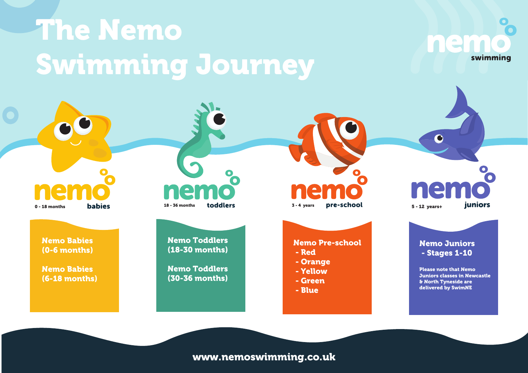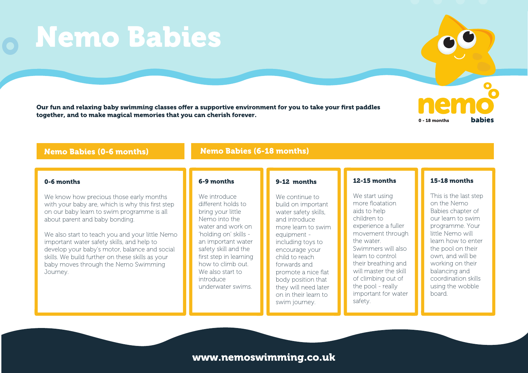## Nemo Babies (0-6 months) Nemo Babies (6-18 months)

#### 0-6 months

We know how precious those early months with your baby are, which is why this first step on our baby learn to swim programme is all about parent and baby bonding.

We also start to teach you and your little Nemo important water safety skills, and help to develop your baby's motor, balance and social skills. We build further on these skills as your baby moves through the Nemo Swimming Journey.

#### 6-9 months

We introduce different holds to bring your little Nemo into the water and work on 'holding on' skills an important water safety skill and the first step in learning how to climb out. We also start to introduce underwater swims.

#### 9-12 months

We continue to build on important water safety skills, and introduce more learn to swim equipment including toys to encourage your child to reach forwards and promote a nice flat body position that they will need later on in their learn to swim journey.

#### 12-15 months

We start using more floatation aids to help children to experience a fuller movement through the water. Swimmers will also learn to control their breathing and will master the skill of climbing out of the pool - really important for water safety.

### 15-18 months

This is the last step on the Nemo Babies chapter of our learn to swim programme. Your little Nemo will learn how to enter the pool on their own, and will be working on their balancing and coordination skills using the wobble board.

## www.nemoswimming.co.uk

Our fun and relaxing baby swimming classes offer a supportive environment for you to take your first paddles together, and to make magical memories that you can cherish forever.

## Nemo Babies

**babies** 

0 - 18 months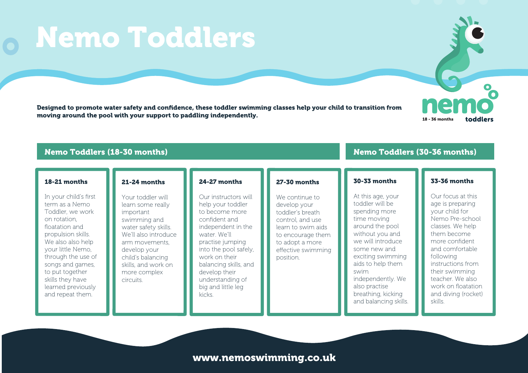## Nemo Toddlers

Designed to promote water safety and confidence, these toddler swimming classes help your child to transition from moving around the pool with your support to paddling independently.<br>
18 - 36 months



#### Nemo Toddlers (18-30 months)

#### 18-21 months

In your child's first term as a Nemo Toddler, we work on rotation, floatation and propulsion skills. We also also help your little Nemo, through the use of songs and games, to put together skills they have learned previously and repeat them.

### 21-24 months

Your toddler will learn some really important swimming and water safety skills. We'll also introduce arm movements, develop your child's balancing skills, and work on more complex circuits.

#### 24-27 months

Our instructors will help your toddler to become more confident and independent in the water. We'll practise jumping into the pool safely, work on their balancing skills, and develop their understanding of big and little leg kicks.

#### 27-30 months

We continue to develop your toddler's breath control, and use learn to swim aids to encourage them to adopt a more effective swimming position.

#### 30-33 months

At this age, your toddler will be spending more time moving around the pool without you and we will introduce some new and exciting swimming aids to help them swim independently. We also practise breathing, kicking and balancing skills.

#### 33-36 months

Nemo Toddlers (30-36 months)

Our focus at this age is preparing your child for Nemo Pre-school classes. We help them become more confident and comfortable following instructions from their swimming teacher. We also work on floatation and diving (rocket) skills.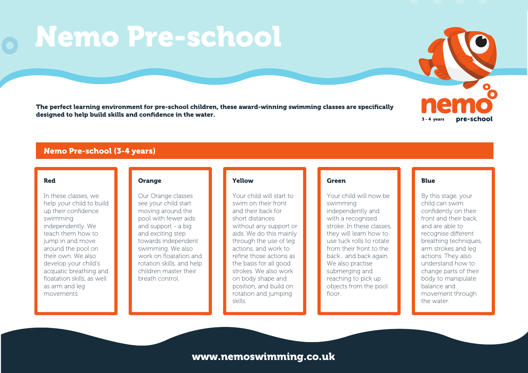# Nemo Pre-school

The perfect learning environment for pre-school children, these award-winning swimming classes are specifically designed to help build skills and confidence in the water.



#### Nemo Pre-school (3-4 years)

#### Red

In these classes, we help your child to build up their confidence swimming independently. We teach them how to jump in and move around the pool on their own. We also develop your child's acquatic breathing and floatation skills, as well as arm and leg movements.

#### **Orange**

Our Orange classes see your child start moving around the pool with fewer aids and support - a big and exciting step towards independent swimming. We also work on floatation and rotation skills, and help children master their breath control.

#### Yellow

Your child will start to swim on their front and their back for short distances without any support or aids. We do this mainly through the use of leg actions, and work to refine those actions as the basis for all good strokes. We also work on body shape and position, and build on rotation and jumping skills.

#### **Green**

Your child will now be swimming independently and with a recognised stroke. In these classes, they will learn how to use tuck rolls to rotate from their front to the back... and back again. We also practise submerging and reaching to pick up objects from the pool floor.

#### Blue

By this stage, your child can swim confidently on their front and their back, and are able to recognise different breathing techniques, arm strokes and leg actions. They also understand how to change parts of their body to manipulate balance and movement through the water.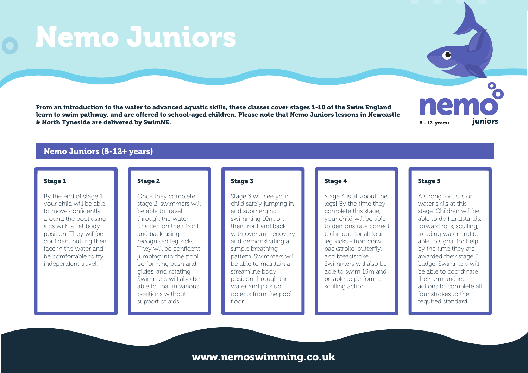## Nemo Juniors

From an introduction to the water to advanced aquatic skills, these classes cover stages 1-10 of the Swim England learn to swim pathway, and are offered to school-aged children. Please note that Nemo Juniors lessons in Newcastle & North Tyneside are delivered by SwimNE. 5 - 12 years+



### Nemo Juniors (5-12+ years)

#### Stage 1

By the end of stage 1, your child will be able to move confidently around the pool using aids with a flat body position. They will be confident putting their face in the water and be comfortable to try independent travel.

#### Stage 2

Once they complete stage 2, swimmers will be able to travel through the water unaided on their front and back using recognised leg kicks. They will be confident jumping into the pool, performing push and glides, and rotating. Swimmers will also be able to float in various positions without support or aids.

#### Stage 3

Stage 3 will see your child safely jumping in and submerging, swimming 10m on their front and back with overarm recovery and demonstrating a simple breathing pattern. Swimmers will be able to maintain a streamline body position through the water and pick up objects from the pool floor

#### Stage 4

Stage 4 is all about the legs! By the time they complete this stage, your child will be able to demonstrate correct technique for all four leg kicks - frontcrawl, backstroke, butterfly, and breaststoke. Swimmers will also be able to swim 15m and be able to perform a sculling action.

#### Stage 5

A strong focus is on water skills at this stage. Children will be able to do handstands, forward rolls, sculling, treading water and be able to signal for help by the time they are awarded their stage 5 badge. Swimmers will be able to coordinate their arm and leg actions to complete all four strokes to the required standard.